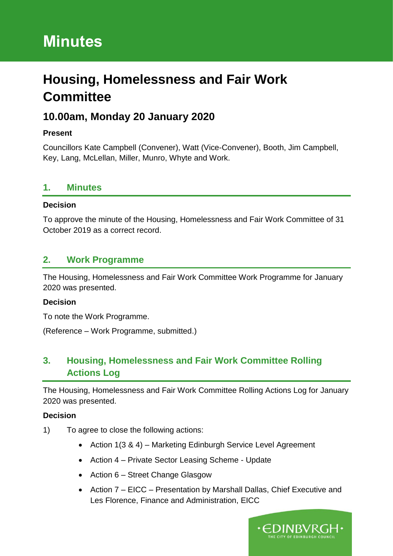# **Minutes**

# **Housing, Homelessness and Fair Work Committee**

# **10.00am, Monday 20 January 2020**

## **Present**

Councillors Kate Campbell (Convener), Watt (Vice-Convener), Booth, Jim Campbell, Key, Lang, McLellan, Miller, Munro, Whyte and Work.

## **1. Minutes**

## **Decision**

To approve the minute of the Housing, Homelessness and Fair Work Committee of 31 October 2019 as a correct record.

## **2. Work Programme**

The Housing, Homelessness and Fair Work Committee Work Programme for January 2020 was presented.

#### **Decision**

To note the Work Programme.

(Reference – Work Programme, submitted.)

# **3. Housing, Homelessness and Fair Work Committee Rolling Actions Log**

The Housing, Homelessness and Fair Work Committee Rolling Actions Log for January 2020 was presented.

- 1) To agree to close the following actions:
	- Action 1(3 & 4) Marketing Edinburgh Service Level Agreement
	- Action 4 Private Sector Leasing Scheme Update
	- Action 6 Street Change Glasgow
	- Action 7 EICC Presentation by Marshall Dallas, Chief Executive and Les Florence, Finance and Administration, EICC

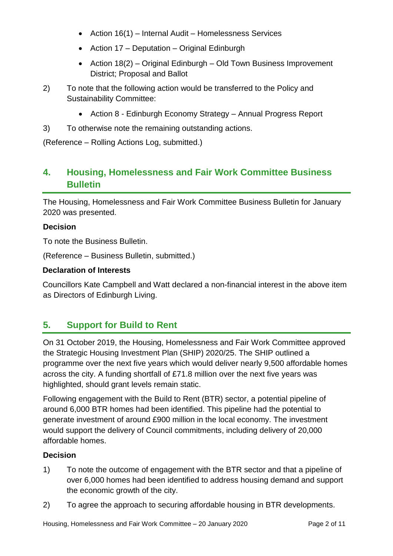- Action 16(1) Internal Audit Homelessness Services
- Action 17 Deputation Original Edinburgh
- Action 18(2) Original Edinburgh Old Town Business Improvement District; Proposal and Ballot
- 2) To note that the following action would be transferred to the Policy and Sustainability Committee:
	- Action 8 Edinburgh Economy Strategy Annual Progress Report
- 3) To otherwise note the remaining outstanding actions.

(Reference – Rolling Actions Log, submitted.)

## **4. Housing, Homelessness and Fair Work Committee Business Bulletin**

The Housing, Homelessness and Fair Work Committee Business Bulletin for January 2020 was presented.

#### **Decision**

To note the Business Bulletin.

(Reference – Business Bulletin, submitted.)

#### **Declaration of Interests**

Councillors Kate Campbell and Watt declared a non-financial interest in the above item as Directors of Edinburgh Living.

## **5. Support for Build to Rent**

On 31 October 2019, the Housing, Homelessness and Fair Work Committee approved the Strategic Housing Investment Plan (SHIP) 2020/25. The SHIP outlined a programme over the next five years which would deliver nearly 9,500 affordable homes across the city. A funding shortfall of £71.8 million over the next five years was highlighted, should grant levels remain static.

Following engagement with the Build to Rent (BTR) sector, a potential pipeline of around 6,000 BTR homes had been identified. This pipeline had the potential to generate investment of around £900 million in the local economy. The investment would support the delivery of Council commitments, including delivery of 20,000 affordable homes.

- 1) To note the outcome of engagement with the BTR sector and that a pipeline of over 6,000 homes had been identified to address housing demand and support the economic growth of the city.
- 2) To agree the approach to securing affordable housing in BTR developments.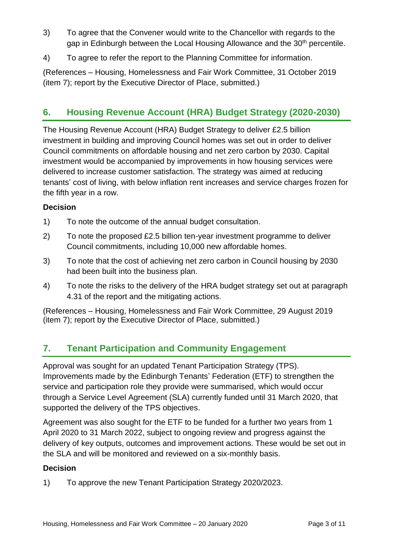- 3) To agree that the Convener would write to the Chancellor with regards to the gap in Edinburgh between the Local Housing Allowance and the 30<sup>th</sup> percentile.
- 4) To agree to refer the report to the Planning Committee for information.

(References – Housing, Homelessness and Fair Work Committee, 31 October 2019 (item 7); report by the Executive Director of Place, submitted.)

# **6. Housing Revenue Account (HRA) Budget Strategy (2020-2030)**

The Housing Revenue Account (HRA) Budget Strategy to deliver £2.5 billion investment in building and improving Council homes was set out in order to deliver Council commitments on affordable housing and net zero carbon by 2030. Capital investment would be accompanied by improvements in how housing services were delivered to increase customer satisfaction. The strategy was aimed at reducing tenants' cost of living, with below inflation rent increases and service charges frozen for the fifth year in a row.

## **Decision**

- 1) To note the outcome of the annual budget consultation.
- 2) To note the proposed £2.5 billion ten-year investment programme to deliver Council commitments, including 10,000 new affordable homes.
- 3) To note that the cost of achieving net zero carbon in Council housing by 2030 had been built into the business plan.
- 4) To note the risks to the delivery of the HRA budget strategy set out at paragraph 4.31 of the report and the mitigating actions.

(References – Housing, Homelessness and Fair Work Committee, 29 August 2019 (item 7); report by the Executive Director of Place, submitted.)

# **7. Tenant Participation and Community Engagement**

Approval was sought for an updated Tenant Participation Strategy (TPS). Improvements made by the Edinburgh Tenants' Federation (ETF) to strengthen the service and participation role they provide were summarised, which would occur through a Service Level Agreement (SLA) currently funded until 31 March 2020, that supported the delivery of the TPS objectives.

Agreement was also sought for the ETF to be funded for a further two years from 1 April 2020 to 31 March 2022, subject to ongoing review and progress against the delivery of key outputs, outcomes and improvement actions. These would be set out in the SLA and will be monitored and reviewed on a six-monthly basis.

## **Decision**

1) To approve the new Tenant Participation Strategy 2020/2023.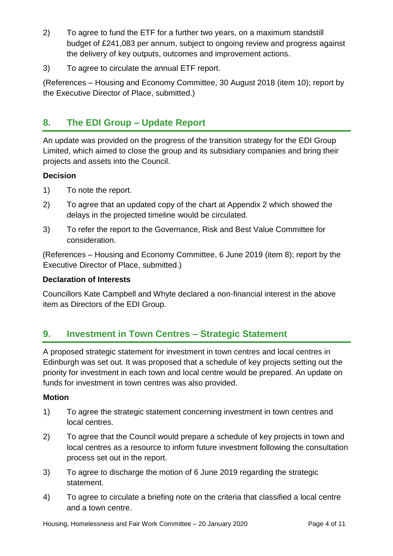- 2) To agree to fund the ETF for a further two years, on a maximum standstill budget of £241,083 per annum, subject to ongoing review and progress against the delivery of key outputs, outcomes and improvement actions.
- 3) To agree to circulate the annual ETF report.

(References – Housing and Economy Committee, 30 August 2018 (item 10); report by the Executive Director of Place, submitted.)

# **8. The EDI Group – Update Report**

An update was provided on the progress of the transition strategy for the EDI Group Limited, which aimed to close the group and its subsidiary companies and bring their projects and assets into the Council.

## **Decision**

- 1) To note the report.
- 2) To agree that an updated copy of the chart at Appendix 2 which showed the delays in the projected timeline would be circulated.
- 3) To refer the report to the Governance, Risk and Best Value Committee for consideration.

(References – Housing and Economy Committee, 6 June 2019 (item 8); report by the Executive Director of Place, submitted.)

## **Declaration of Interests**

Councillors Kate Campbell and Whyte declared a non-financial interest in the above item as Directors of the EDI Group.

## **9. Investment in Town Centres – Strategic Statement**

A proposed strategic statement for investment in town centres and local centres in Edinburgh was set out. It was proposed that a schedule of key projects setting out the priority for investment in each town and local centre would be prepared. An update on funds for investment in town centres was also provided.

## **Motion**

- 1) To agree the strategic statement concerning investment in town centres and local centres.
- 2) To agree that the Council would prepare a schedule of key projects in town and local centres as a resource to inform future investment following the consultation process set out in the report.
- 3) To agree to discharge the motion of 6 June 2019 regarding the strategic statement.
- 4) To agree to circulate a briefing note on the criteria that classified a local centre and a town centre.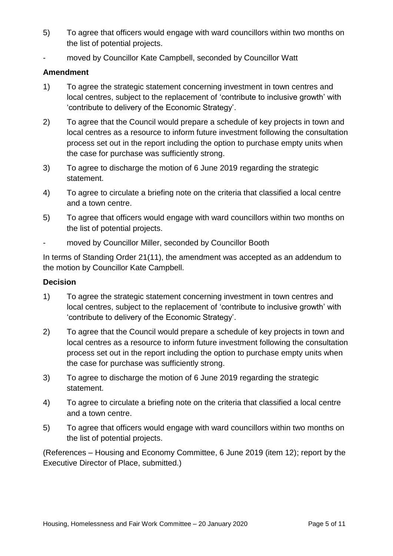- 5) To agree that officers would engage with ward councillors within two months on the list of potential projects.
- moved by Councillor Kate Campbell, seconded by Councillor Watt

#### **Amendment**

- 1) To agree the strategic statement concerning investment in town centres and local centres, subject to the replacement of 'contribute to inclusive growth' with 'contribute to delivery of the Economic Strategy'.
- 2) To agree that the Council would prepare a schedule of key projects in town and local centres as a resource to inform future investment following the consultation process set out in the report including the option to purchase empty units when the case for purchase was sufficiently strong.
- 3) To agree to discharge the motion of 6 June 2019 regarding the strategic statement.
- 4) To agree to circulate a briefing note on the criteria that classified a local centre and a town centre.
- 5) To agree that officers would engage with ward councillors within two months on the list of potential projects.
- moved by Councillor Miller, seconded by Councillor Booth

In terms of Standing Order 21(11), the amendment was accepted as an addendum to the motion by Councillor Kate Campbell.

#### **Decision**

- 1) To agree the strategic statement concerning investment in town centres and local centres, subject to the replacement of 'contribute to inclusive growth' with 'contribute to delivery of the Economic Strategy'.
- 2) To agree that the Council would prepare a schedule of key projects in town and local centres as a resource to inform future investment following the consultation process set out in the report including the option to purchase empty units when the case for purchase was sufficiently strong.
- 3) To agree to discharge the motion of 6 June 2019 regarding the strategic statement.
- 4) To agree to circulate a briefing note on the criteria that classified a local centre and a town centre.
- 5) To agree that officers would engage with ward councillors within two months on the list of potential projects.

(References – Housing and Economy Committee, 6 June 2019 (item 12); report by the Executive Director of Place, submitted.)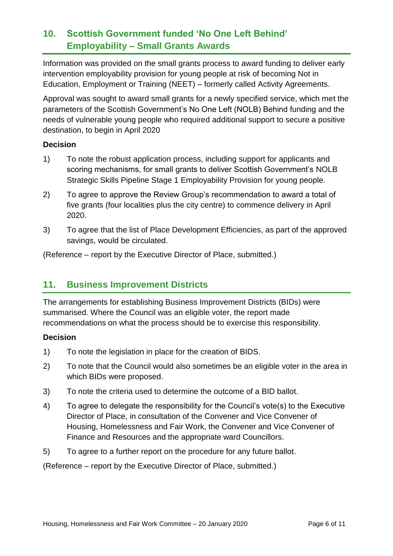# **10. Scottish Government funded 'No One Left Behind' Employability – Small Grants Awards**

Information was provided on the small grants process to award funding to deliver early intervention employability provision for young people at risk of becoming Not in Education, Employment or Training (NEET) – formerly called Activity Agreements.

Approval was sought to award small grants for a newly specified service, which met the parameters of the Scottish Government's No One Left (NOLB) Behind funding and the needs of vulnerable young people who required additional support to secure a positive destination, to begin in April 2020

#### **Decision**

- 1) To note the robust application process, including support for applicants and scoring mechanisms, for small grants to deliver Scottish Government's NOLB Strategic Skills Pipeline Stage 1 Employability Provision for young people.
- 2) To agree to approve the Review Group's recommendation to award a total of five grants (four localities plus the city centre) to commence delivery in April 2020.
- 3) To agree that the list of Place Development Efficiencies, as part of the approved savings, would be circulated.

(Reference – report by the Executive Director of Place, submitted.)

## **11. Business Improvement Districts**

The arrangements for establishing Business Improvement Districts (BIDs) were summarised. Where the Council was an eligible voter, the report made recommendations on what the process should be to exercise this responsibility.

## **Decision**

- 1) To note the legislation in place for the creation of BIDS.
- 2) To note that the Council would also sometimes be an eligible voter in the area in which BIDs were proposed.
- 3) To note the criteria used to determine the outcome of a BID ballot.
- 4) To agree to delegate the responsibility for the Council's vote(s) to the Executive Director of Place, in consultation of the Convener and Vice Convener of Housing, Homelessness and Fair Work, the Convener and Vice Convener of Finance and Resources and the appropriate ward Councillors.
- 5) To agree to a further report on the procedure for any future ballot.

(Reference – report by the Executive Director of Place, submitted.)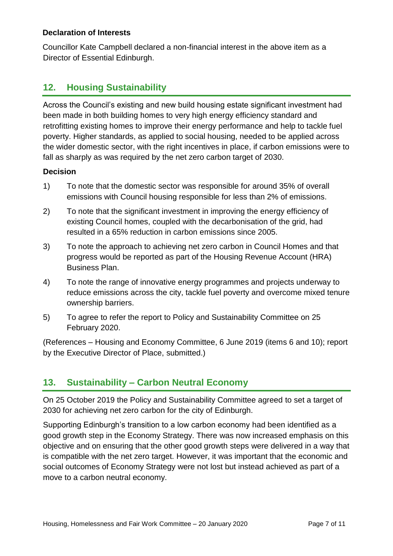#### **Declaration of Interests**

Councillor Kate Campbell declared a non-financial interest in the above item as a Director of Essential Edinburgh.

## **12. Housing Sustainability**

Across the Council's existing and new build housing estate significant investment had been made in both building homes to very high energy efficiency standard and retrofitting existing homes to improve their energy performance and help to tackle fuel poverty. Higher standards, as applied to social housing, needed to be applied across the wider domestic sector, with the right incentives in place, if carbon emissions were to fall as sharply as was required by the net zero carbon target of 2030.

#### **Decision**

- 1) To note that the domestic sector was responsible for around 35% of overall emissions with Council housing responsible for less than 2% of emissions.
- 2) To note that the significant investment in improving the energy efficiency of existing Council homes, coupled with the decarbonisation of the grid, had resulted in a 65% reduction in carbon emissions since 2005.
- 3) To note the approach to achieving net zero carbon in Council Homes and that progress would be reported as part of the Housing Revenue Account (HRA) Business Plan.
- 4) To note the range of innovative energy programmes and projects underway to reduce emissions across the city, tackle fuel poverty and overcome mixed tenure ownership barriers.
- 5) To agree to refer the report to Policy and Sustainability Committee on 25 February 2020.

(References – Housing and Economy Committee, 6 June 2019 (items 6 and 10); report by the Executive Director of Place, submitted.)

## **13. Sustainability – Carbon Neutral Economy**

On 25 October 2019 the Policy and Sustainability Committee agreed to set a target of 2030 for achieving net zero carbon for the city of Edinburgh.

Supporting Edinburgh's transition to a low carbon economy had been identified as a good growth step in the Economy Strategy. There was now increased emphasis on this objective and on ensuring that the other good growth steps were delivered in a way that is compatible with the net zero target. However, it was important that the economic and social outcomes of Economy Strategy were not lost but instead achieved as part of a move to a carbon neutral economy.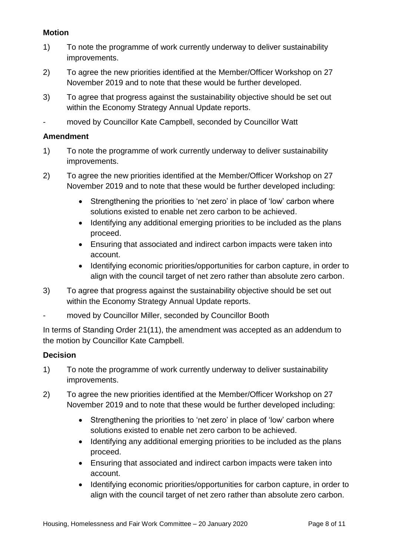#### **Motion**

- 1) To note the programme of work currently underway to deliver sustainability improvements.
- 2) To agree the new priorities identified at the Member/Officer Workshop on 27 November 2019 and to note that these would be further developed.
- 3) To agree that progress against the sustainability objective should be set out within the Economy Strategy Annual Update reports.
- moved by Councillor Kate Campbell, seconded by Councillor Watt

#### **Amendment**

- 1) To note the programme of work currently underway to deliver sustainability improvements.
- 2) To agree the new priorities identified at the Member/Officer Workshop on 27 November 2019 and to note that these would be further developed including:
	- Strengthening the priorities to 'net zero' in place of 'low' carbon where solutions existed to enable net zero carbon to be achieved.
	- Identifying any additional emerging priorities to be included as the plans proceed.
	- Ensuring that associated and indirect carbon impacts were taken into account.
	- Identifying economic priorities/opportunities for carbon capture, in order to align with the council target of net zero rather than absolute zero carbon.
- 3) To agree that progress against the sustainability objective should be set out within the Economy Strategy Annual Update reports.
- moved by Councillor Miller, seconded by Councillor Booth

In terms of Standing Order 21(11), the amendment was accepted as an addendum to the motion by Councillor Kate Campbell.

- 1) To note the programme of work currently underway to deliver sustainability improvements.
- 2) To agree the new priorities identified at the Member/Officer Workshop on 27 November 2019 and to note that these would be further developed including:
	- Strengthening the priorities to 'net zero' in place of 'low' carbon where solutions existed to enable net zero carbon to be achieved.
	- Identifying any additional emerging priorities to be included as the plans proceed.
	- Ensuring that associated and indirect carbon impacts were taken into account.
	- Identifying economic priorities/opportunities for carbon capture, in order to align with the council target of net zero rather than absolute zero carbon.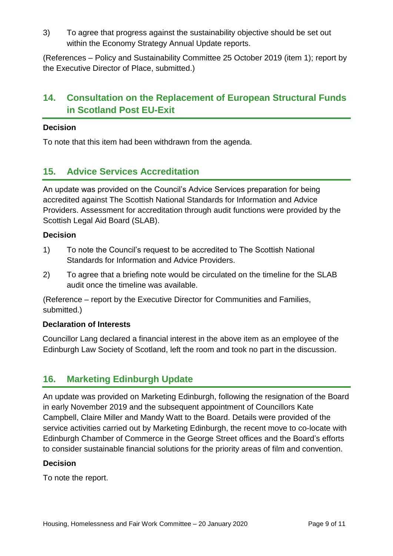3) To agree that progress against the sustainability objective should be set out within the Economy Strategy Annual Update reports.

(References – Policy and Sustainability Committee 25 October 2019 (item 1); report by the Executive Director of Place, submitted.)

# **14. Consultation on the Replacement of European Structural Funds in Scotland Post EU-Exit**

#### **Decision**

To note that this item had been withdrawn from the agenda.

## **15. Advice Services Accreditation**

An update was provided on the Council's Advice Services preparation for being accredited against The Scottish National Standards for Information and Advice Providers. Assessment for accreditation through audit functions were provided by the Scottish Legal Aid Board (SLAB).

#### **Decision**

- 1) To note the Council's request to be accredited to The Scottish National Standards for Information and Advice Providers.
- 2) To agree that a briefing note would be circulated on the timeline for the SLAB audit once the timeline was available.

(Reference – report by the Executive Director for Communities and Families, submitted.)

#### **Declaration of Interests**

Councillor Lang declared a financial interest in the above item as an employee of the Edinburgh Law Society of Scotland, left the room and took no part in the discussion.

## **16. Marketing Edinburgh Update**

An update was provided on Marketing Edinburgh, following the resignation of the Board in early November 2019 and the subsequent appointment of Councillors Kate Campbell, Claire Miller and Mandy Watt to the Board. Details were provided of the service activities carried out by Marketing Edinburgh, the recent move to co-locate with Edinburgh Chamber of Commerce in the George Street offices and the Board's efforts to consider sustainable financial solutions for the priority areas of film and convention.

#### **Decision**

To note the report.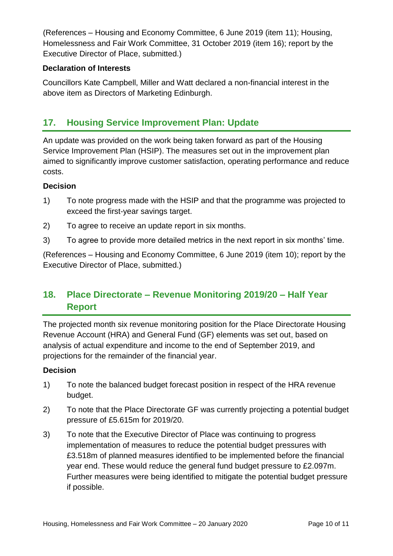(References – Housing and Economy Committee, 6 June 2019 (item 11); Housing, Homelessness and Fair Work Committee, 31 October 2019 (item 16); report by the Executive Director of Place, submitted.)

#### **Declaration of Interests**

Councillors Kate Campbell, Miller and Watt declared a non-financial interest in the above item as Directors of Marketing Edinburgh.

## **17. Housing Service Improvement Plan: Update**

An update was provided on the work being taken forward as part of the Housing Service Improvement Plan (HSIP). The measures set out in the improvement plan aimed to significantly improve customer satisfaction, operating performance and reduce costs.

#### **Decision**

- 1) To note progress made with the HSIP and that the programme was projected to exceed the first-year savings target.
- 2) To agree to receive an update report in six months.
- 3) To agree to provide more detailed metrics in the next report in six months' time.

(References – Housing and Economy Committee, 6 June 2019 (item 10); report by the Executive Director of Place, submitted.)

# **18. Place Directorate – Revenue Monitoring 2019/20 – Half Year Report**

The projected month six revenue monitoring position for the Place Directorate Housing Revenue Account (HRA) and General Fund (GF) elements was set out, based on analysis of actual expenditure and income to the end of September 2019, and projections for the remainder of the financial year.

- 1) To note the balanced budget forecast position in respect of the HRA revenue budget.
- 2) To note that the Place Directorate GF was currently projecting a potential budget pressure of £5.615m for 2019/20.
- 3) To note that the Executive Director of Place was continuing to progress implementation of measures to reduce the potential budget pressures with £3.518m of planned measures identified to be implemented before the financial year end. These would reduce the general fund budget pressure to £2.097m. Further measures were being identified to mitigate the potential budget pressure if possible.